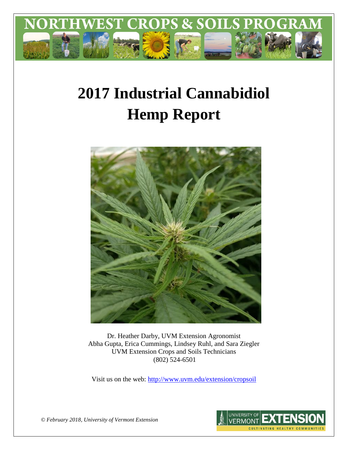

# **2017 Industrial Cannabidiol Hemp Report**



Dr. Heather Darby, UVM Extension Agronomist Abha Gupta, Erica Cummings, Lindsey Ruhl, and Sara Ziegler UVM Extension Crops and Soils Technicians (802) 524-6501

Visit us on the web:<http://www.uvm.edu/extension/cropsoil>



*© February 2018, University of Vermont Extension*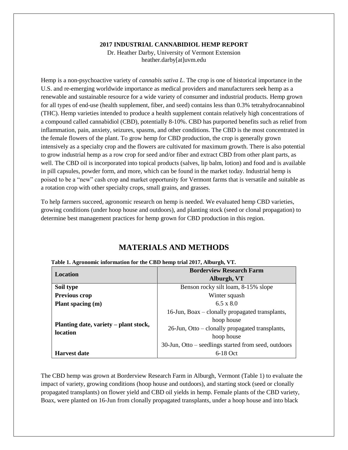#### **2017 INDUSTRIAL CANNABIDIOL HEMP REPORT**

Dr. Heather Darby, University of Vermont Extension heather.darby[at]uvm.edu

Hemp is a non-psychoactive variety of *cannabis sativa L*. The crop is one of historical importance in the U.S. and re-emerging worldwide importance as medical providers and manufacturers seek hemp as a renewable and sustainable resource for a wide variety of consumer and industrial products. Hemp grown for all types of end-use (health supplement, fiber, and seed) contains less than 0.3% tetrahydrocannabinol (THC). Hemp varieties intended to produce a health supplement contain relatively high concentrations of a compound called cannabidiol (CBD), potentially 8-10%. CBD has purported benefits such as relief from inflammation, pain, anxiety, seizures, spasms, and other conditions. The CBD is the most concentrated in the female flowers of the plant. To grow hemp for CBD production, the crop is generally grown intensively as a specialty crop and the flowers are cultivated for maximum growth. There is also potential to grow industrial hemp as a row crop for seed and/or fiber and extract CBD from other plant parts, as well. The CBD oil is incorporated into topical products (salves, lip balm, lotion) and food and is available in pill capsules, powder form, and more, which can be found in the market today. Industrial hemp is poised to be a "new" cash crop and market opportunity for Vermont farms that is versatile and suitable as a rotation crop with other specialty crops, small grains, and grasses.

To help farmers succeed, agronomic research on hemp is needed. We evaluated hemp CBD varieties, growing conditions (under hoop house and outdoors), and planting stock (seed or clonal propagation) to determine best management practices for hemp grown for CBD production in this region.

| Table 1. Agronomic information for the CBD hemp trial 2017, Alburgh, VT. |                                                      |  |  |  |  |  |
|--------------------------------------------------------------------------|------------------------------------------------------|--|--|--|--|--|
| Location                                                                 | <b>Borderview Research Farm</b>                      |  |  |  |  |  |
|                                                                          | Alburgh, VT                                          |  |  |  |  |  |
| Soil type                                                                | Benson rocky silt loam, 8-15% slope                  |  |  |  |  |  |
| <b>Previous crop</b>                                                     | Winter squash                                        |  |  |  |  |  |
| Plant spacing (m)                                                        | $6.5 \times 8.0$                                     |  |  |  |  |  |
| Planting date, variety – plant stock,<br><b>location</b>                 | 16-Jun, Boax – clonally propagated transplants,      |  |  |  |  |  |
|                                                                          | hoop house                                           |  |  |  |  |  |
|                                                                          | $26$ -Jun, Otto – clonally propagated transplants,   |  |  |  |  |  |
|                                                                          | hoop house                                           |  |  |  |  |  |
|                                                                          | 30-Jun, Otto – seedlings started from seed, outdoors |  |  |  |  |  |
| <b>Harvest date</b>                                                      | $6-18$ Oct                                           |  |  |  |  |  |

#### **MATERIALS AND METHODS**

The CBD hemp was grown at Borderview Research Farm in Alburgh, Vermont (Table 1) to evaluate the impact of variety, growing conditions (hoop house and outdoors), and starting stock (seed or clonally propagated transplants) on flower yield and CBD oil yields in hemp. Female plants of the CBD variety, Boax, were planted on 16-Jun from clonally propagated transplants, under a hoop house and into black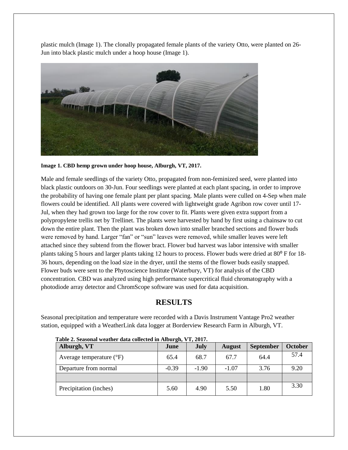plastic mulch (Image 1). The clonally propagated female plants of the variety Otto, were planted on 26- Jun into black plastic mulch under a hoop house (Image 1).



**Image 1. CBD hemp grown under hoop house, Alburgh, VT, 2017.**

Male and female seedlings of the variety Otto, propagated from non-feminized seed, were planted into black plastic outdoors on 30-Jun. Four seedlings were planted at each plant spacing, in order to improve the probability of having one female plant per plant spacing. Male plants were culled on 4-Sep when male flowers could be identified. All plants were covered with lightweight grade Agribon row cover until 17- Jul, when they had grown too large for the row cover to fit. Plants were given extra support from a polypropylene trellis net by Trellinet. The plants were harvested by hand by first using a chainsaw to cut down the entire plant. Then the plant was broken down into smaller branched sections and flower buds were removed by hand. Larger "fan" or "sun" leaves were removed, while smaller leaves were left attached since they subtend from the flower bract. Flower bud harvest was labor intensive with smaller plants taking 5 hours and larger plants taking 12 hours to process. Flower buds were dried at 80° F for 18-36 hours, depending on the load size in the dryer, until the stems of the flower buds easily snapped. Flower buds were sent to the Phytoscience Institute (Waterbury, VT) for analysis of the CBD concentration. CBD was analyzed using high performance supercritical fluid chromatography with a photodiode array detector and ChromScope software was used for data acquisition.

### **RESULTS**

Seasonal precipitation and temperature were recorded with a Davis Instrument Vantage Pro2 weather station, equipped with a WeatherLink data logger at Borderview Research Farm in Alburgh, VT.

| Table 2. Seasonal weather data collected in Alburgh, VT, 2017.<br>Alburgh, VT | June    | July    | <b>August</b> | <b>September</b> | <b>October</b> |
|-------------------------------------------------------------------------------|---------|---------|---------------|------------------|----------------|
| Average temperature $({}^{\circ}F)$                                           | 65.4    | 68.7    | 67.7          | 64.4             | 57.4           |
| Departure from normal                                                         | $-0.39$ | $-1.90$ | $-1.07$       | 3.76             | 9.20           |
|                                                                               |         |         |               |                  |                |
| Precipitation (inches)                                                        | 5.60    | 4.90    | 5.50          | 1.80             | 3.30           |

 **Table 2. Seasonal weather data collected in Alburgh, VT, 2017.**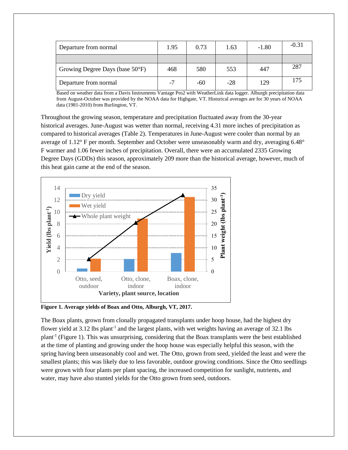| Departure from normal           | 1.95 | 0.73 | 1.63  | $-1.80$ | $-0.31$ |
|---------------------------------|------|------|-------|---------|---------|
|                                 |      |      |       |         |         |
| Growing Degree Days (base 50°F) | 468  | 580  | 553   | 447     | 287     |
| Departure from normal           | - 1  | -60  | $-28$ | 129     | 175     |

Based on weather data from a Davis Instruments Vantage Pro2 with WeatherLink data logger. Alburgh precipitation data from August-October was provided by the NOAA data for Highgate, VT. Historical averages are for 30 years of NOAA data (1981-2010) from Burlington, VT.

Throughout the growing season, temperature and precipitation fluctuated away from the 30-year historical averages. June-August was wetter than normal, receiving 4.31 more inches of precipitation as compared to historical averages (Table 2). Temperatures in June-August were cooler than normal by an average of 1.12° F per month. September and October were unseasonably warm and dry, averaging 6.48° F warmer and 1.06 fewer inches of precipitation. Overall, there were an accumulated 2335 Growing Degree Days (GDDs) this season, approximately 209 more than the historical average, however, much of this heat gain came at the end of the season.



**Figure 1. Average yields of Boax and Otto, Alburgh, VT, 2017.** 

The Boax plants, grown from clonally propagated transplants under hoop house, had the highest dry flower yield at 3.12 lbs plant<sup>-1</sup> and the largest plants, with wet weights having an average of 32.1 lbs plant<sup>-1</sup> (Figure 1). This was unsurprising, considering that the Boax transplants were the best established at the time of planting and growing under the hoop house was especially helpful this season, with the spring having been unseasonably cool and wet. The Otto, grown from seed, yielded the least and were the smallest plants; this was likely due to less favorable, outdoor growing conditions. Since the Otto seedlings were grown with four plants per plant spacing, the increased competition for sunlight, nutrients, and water, may have also stunted yields for the Otto grown from seed, outdoors.